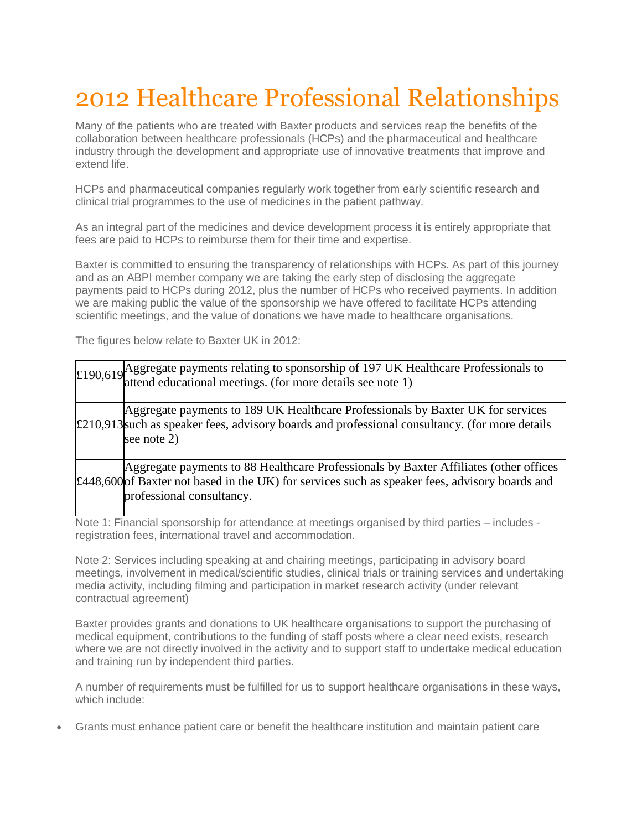## 2012 Healthcare Professional Relationships

Many of the patients who are treated with Baxter products and services reap the benefits of the collaboration between healthcare professionals (HCPs) and the pharmaceutical and healthcare industry through the development and appropriate use of innovative treatments that improve and extend life.

HCPs and pharmaceutical companies regularly work together from early scientific research and clinical trial programmes to the use of medicines in the patient pathway.

As an integral part of the medicines and device development process it is entirely appropriate that fees are paid to HCPs to reimburse them for their time and expertise.

Baxter is committed to ensuring the transparency of relationships with HCPs. As part of this journey and as an ABPI member company we are taking the early step of disclosing the aggregate payments paid to HCPs during 2012, plus the number of HCPs who received payments. In addition we are making public the value of the sponsorship we have offered to facilitate HCPs attending scientific meetings, and the value of donations we have made to healthcare organisations.

The figures below relate to Baxter UK in 2012:

| £190,619 Aggregate payments relating to sponsorship of 197 UK Healthcare Professionals to attend educational meetings. (for more details see note 1)                                                                 |  |  |
|----------------------------------------------------------------------------------------------------------------------------------------------------------------------------------------------------------------------|--|--|
| Aggregate payments to 189 UK Healthcare Professionals by Baxter UK for services<br>$\pounds$ 210,913 such as speaker fees, advisory boards and professional consultancy. (for more details<br>see note 2)            |  |  |
| Aggregate payments to 88 Healthcare Professionals by Baxter Affiliates (other offices<br>£448,600 of Baxter not based in the UK) for services such as speaker fees, advisory boards and<br>professional consultancy. |  |  |

Note 1: Financial sponsorship for attendance at meetings organised by third parties – includes registration fees, international travel and accommodation.

Note 2: Services including speaking at and chairing meetings, participating in advisory board meetings, involvement in medical/scientific studies, clinical trials or training services and undertaking media activity, including filming and participation in market research activity (under relevant contractual agreement)

Baxter provides grants and donations to UK healthcare organisations to support the purchasing of medical equipment, contributions to the funding of staff posts where a clear need exists, research where we are not directly involved in the activity and to support staff to undertake medical education and training run by independent third parties.

A number of requirements must be fulfilled for us to support healthcare organisations in these ways, which include:

• Grants must enhance patient care or benefit the healthcare institution and maintain patient care